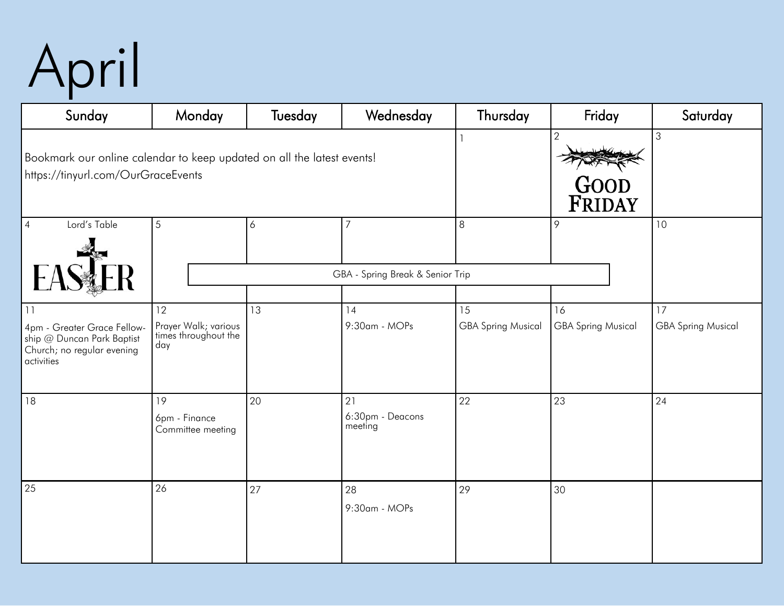## April

| Sunday                                                                                                       | Monday                                              | Tuesday | Wednesday                         | Thursday                  | Friday                           | Saturday                  |
|--------------------------------------------------------------------------------------------------------------|-----------------------------------------------------|---------|-----------------------------------|---------------------------|----------------------------------|---------------------------|
| Bookmark our online calendar to keep updated on all the latest events!<br>https://tinyurl.com/OurGraceEvents |                                                     |         |                                   |                           | $\overline{2}$<br>GOOD<br>FRIDAY | $\mathfrak{Z}$            |
| Lord's Table<br>$\overline{4}$                                                                               | 5                                                   | 6       | $\overline{7}$                    | 8                         | 9                                | 10                        |
|                                                                                                              | GBA - Spring Break & Senior Trip                    |         |                                   |                           |                                  |                           |
| 11                                                                                                           | 12                                                  | 13      | 14                                | 15                        | 16                               | 17                        |
| 4pm - Greater Grace Fellow-<br>ship @ Duncan Park Baptist<br>Church; no regular evening<br>activities        | Prayer Walk; various<br>times throughout the<br>day |         | 9:30am - MOPs                     | <b>GBA Spring Musical</b> | <b>GBA Spring Musical</b>        | <b>GBA Spring Musical</b> |
| 18                                                                                                           | 19<br>6pm - Finance<br>Committee meeting            | 20      | 21<br>6:30pm - Deacons<br>meeting | 22                        | 23                               | 24                        |
| 25                                                                                                           | 26                                                  | 27      | 28<br>9:30am - MOPs               | 29                        | 30                               |                           |